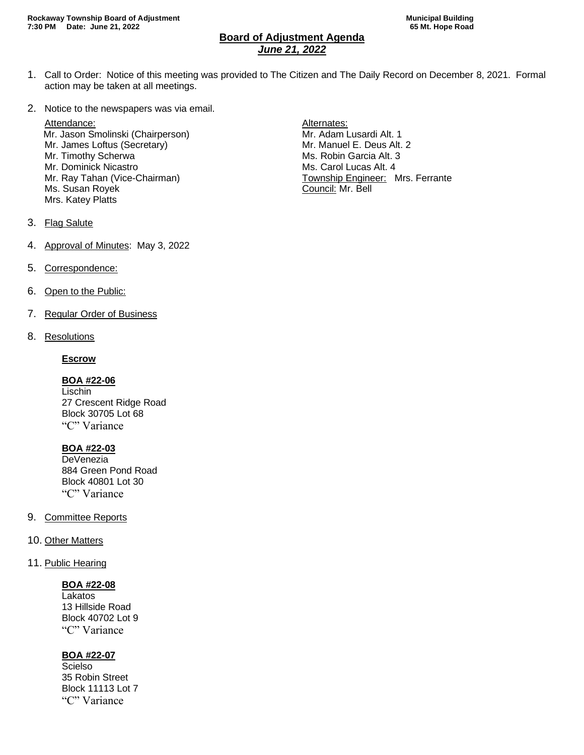# **Board of Adjustment Agenda** *June 21, 2022*

- 1. Call to Order: Notice of this meeting was provided to The Citizen and The Daily Record on December 8, 2021. Formal action may be taken at all meetings.
- 2. Notice to the newspapers was via email.

Attendance: and a set of the set of the set of the set of the Alternates: Mr. Jason Smolinski (Chairperson) Mr. Adam Lusardi Alt. 1 Mr. James Loftus (Secretary) Mr. Manuel E. Deus Alt. 2 Mr. Timothy Scherwa Ms. Robin Garcia Alt. 3 Mr. Dominick Nicastro **Ms. Carol Lucas Alt. 4** Ms. Carol Lucas Alt. 4 Ms. Susan Royek **Council: Mr. Bell** Mrs. Katey Platts

- Mr. Ray Tahan (Vice-Chairman) Township Engineer: Mrs. Ferrante
- 3. Flag Salute
- 4. Approval of Minutes: May 3, 2022
- 5. Correspondence:
- 6. Open to the Public:
- 7. Regular Order of Business
- 8. Resolutions

#### **Escrow**

#### **BOA #22-06**

Lischin 27 Crescent Ridge Road Block 30705 Lot 68 "C" Variance

### **BOA #22-03**

**DeVenezia** 884 Green Pond Road Block 40801 Lot 30 "C" Variance

- 9. Committee Reports
- 10. Other Matters
- 11. Public Hearing

### **BOA #22-08**

Lakatos 13 Hillside Road Block 40702 Lot 9 "C" Variance

### **BOA #22-07**

Scielso 35 Robin Street Block 11113 Lot 7 "C" Variance